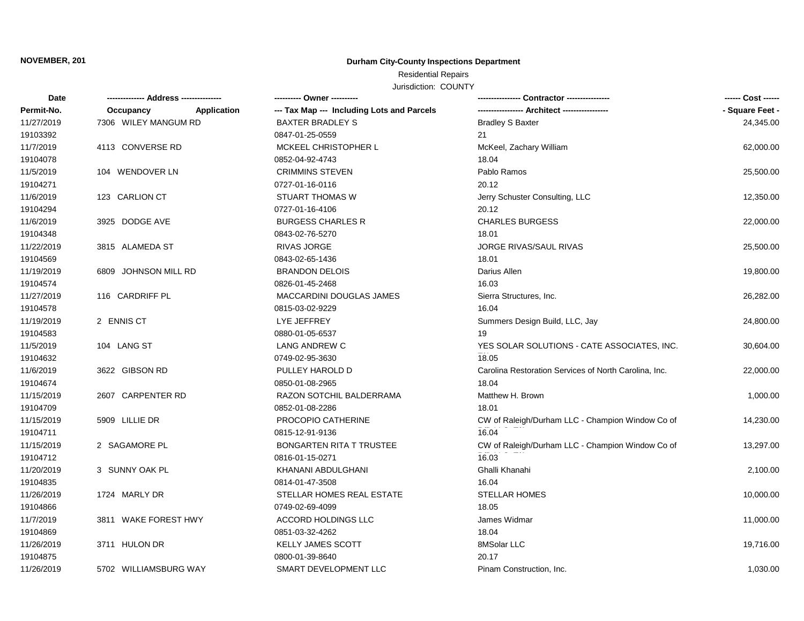# **NOVEMBER, 201 Durham City-County Inspections Department**

# Residential Repairs

Jurisdiction: COUNTY

| Date       |                       |             |                                            |                                                       | ------ Cost ------ |
|------------|-----------------------|-------------|--------------------------------------------|-------------------------------------------------------|--------------------|
| Permit-No. | Occupancy             | Application | --- Tax Map --- Including Lots and Parcels | ---------------- Architect ----------------           | - Square Feet -    |
| 11/27/2019 | 7306 WILEY MANGUM RD  |             | <b>BAXTER BRADLEY S</b>                    | <b>Bradley S Baxter</b>                               | 24,345.00          |
| 19103392   |                       |             | 0847-01-25-0559                            | 21                                                    |                    |
| 11/7/2019  | 4113 CONVERSE RD      |             | <b>MCKEEL CHRISTOPHER L</b>                | McKeel, Zachary William                               | 62,000.00          |
| 19104078   |                       |             | 0852-04-92-4743                            | 18.04                                                 |                    |
| 11/5/2019  | 104 WENDOVER LN       |             | <b>CRIMMINS STEVEN</b>                     | Pablo Ramos                                           | 25,500.00          |
| 19104271   |                       |             | 0727-01-16-0116                            | 20.12                                                 |                    |
| 11/6/2019  | 123 CARLION CT        |             | <b>STUART THOMAS W</b>                     | Jerry Schuster Consulting, LLC                        | 12,350.00          |
| 19104294   |                       |             | 0727-01-16-4106                            | 20.12                                                 |                    |
| 11/6/2019  | 3925 DODGE AVE        |             | <b>BURGESS CHARLES R</b>                   | <b>CHARLES BURGESS</b>                                | 22,000.00          |
| 19104348   |                       |             | 0843-02-76-5270                            | 18.01                                                 |                    |
| 11/22/2019 | 3815 ALAMEDA ST       |             | <b>RIVAS JORGE</b>                         | <b>JORGE RIVAS/SAUL RIVAS</b>                         | 25,500.00          |
| 19104569   |                       |             | 0843-02-65-1436                            | 18.01                                                 |                    |
| 11/19/2019 | 6809 JOHNSON MILL RD  |             | <b>BRANDON DELOIS</b>                      | Darius Allen                                          | 19,800.00          |
| 19104574   |                       |             | 0826-01-45-2468                            | 16.03                                                 |                    |
| 11/27/2019 | 116 CARDRIFF PL       |             | MACCARDINI DOUGLAS JAMES                   | Sierra Structures, Inc.                               | 26,282.00          |
| 19104578   |                       |             | 0815-03-02-9229                            | 16.04                                                 |                    |
| 11/19/2019 | 2 ENNIS CT            |             | LYE JEFFREY                                | Summers Design Build, LLC, Jay                        | 24,800.00          |
| 19104583   |                       |             | 0880-01-05-6537                            | 19                                                    |                    |
| 11/5/2019  | 104 LANG ST           |             | LANG ANDREW C                              | YES SOLAR SOLUTIONS - CATE ASSOCIATES, INC.           | 30,604.00          |
| 19104632   |                       |             | 0749-02-95-3630                            | 18.05                                                 |                    |
| 11/6/2019  | 3622 GIBSON RD        |             | PULLEY HAROLD D                            | Carolina Restoration Services of North Carolina, Inc. | 22,000.00          |
| 19104674   |                       |             | 0850-01-08-2965                            | 18.04                                                 |                    |
| 11/15/2019 | 2607 CARPENTER RD     |             | RAZON SOTCHIL BALDERRAMA                   | Matthew H. Brown                                      | 1,000.00           |
| 19104709   |                       |             | 0852-01-08-2286                            | 18.01                                                 |                    |
| 11/15/2019 | 5909 LILLIE DR        |             | PROCOPIO CATHERINE                         | CW of Raleigh/Durham LLC - Champion Window Co of      | 14,230.00          |
| 19104711   |                       |             | 0815-12-91-9136                            | 16.04                                                 |                    |
| 11/15/2019 | 2 SAGAMORE PL         |             | <b>BONGARTEN RITA T TRUSTEE</b>            | CW of Raleigh/Durham LLC - Champion Window Co of      | 13,297.00          |
| 19104712   |                       |             | 0816-01-15-0271                            | 16.03                                                 |                    |
| 11/20/2019 | 3 SUNNY OAK PL        |             | KHANANI ABDULGHANI                         | Ghalli Khanahi                                        | 2,100.00           |
| 19104835   |                       |             | 0814-01-47-3508                            | 16.04                                                 |                    |
| 11/26/2019 | 1724 MARLY DR         |             | STELLAR HOMES REAL ESTATE                  | <b>STELLAR HOMES</b>                                  | 10,000.00          |
| 19104866   |                       |             | 0749-02-69-4099                            | 18.05                                                 |                    |
| 11/7/2019  | 3811 WAKE FOREST HWY  |             | ACCORD HOLDINGS LLC                        | James Widmar                                          | 11,000.00          |
| 19104869   |                       |             | 0851-03-32-4262                            | 18.04                                                 |                    |
| 11/26/2019 | 3711 HULON DR         |             | <b>KELLY JAMES SCOTT</b>                   | 8MSolar LLC                                           | 19,716.00          |
| 19104875   |                       |             | 0800-01-39-8640                            | 20.17                                                 |                    |
| 11/26/2019 | 5702 WILLIAMSBURG WAY |             | SMART DEVELOPMENT LLC                      | Pinam Construction, Inc.                              | 1,030.00           |